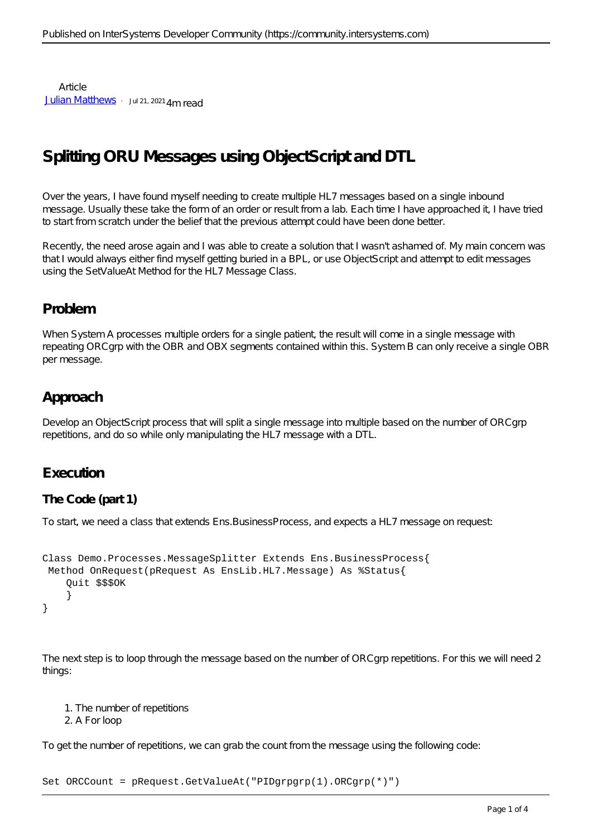Article [Julian Matthews](https://community.intersystems.com/user/julian-matthews-0) · Jul 21, 2021 4m read

# **Splitting ORU Messages using ObjectScript and DTL**

Over the years, I have found myself needing to create multiple HL7 messages based on a single inbound message. Usually these take the form of an order or result from a lab. Each time I have approached it, I have tried to start from scratch under the belief that the previous attempt could have been done better.

Recently, the need arose again and I was able to create a solution that I wasn't ashamed of. My main concern was that I would always either find myself getting buried in a BPL, or use ObjectScript and attempt to edit messages using the SetValueAt Method for the HL7 Message Class.

## **Problem**

When System A processes multiple orders for a single patient, the result will come in a single message with repeating ORCgrp with the OBR and OBX segments contained within this. System B can only receive a single OBR per message.

## **Approach**

Develop an ObjectScript process that will split a single message into multiple based on the number of ORCgrp repetitions, and do so while only manipulating the HL7 message with a DTL.

### **Execution**

#### **The Code (part 1)**

To start, we need a class that extends Ens.BusinessProcess, and expects a HL7 message on request:

```
Class Demo.Processes.MessageSplitter Extends Ens.BusinessProcess{
  Method OnRequest(pRequest As EnsLib.HL7.Message) As %Status{
     Quit $$$OK
 }
}
```
The next step is to loop through the message based on the number of ORC grp repetitions. For this we will need 2 things:

1. The number of repetitions

2. A For loop

To get the number of repetitions, we can grab the count from the message using the following code:

Set ORCCount = pRequest.GetValueAt("PIDgrpgrp(1).ORCgrp(\*)")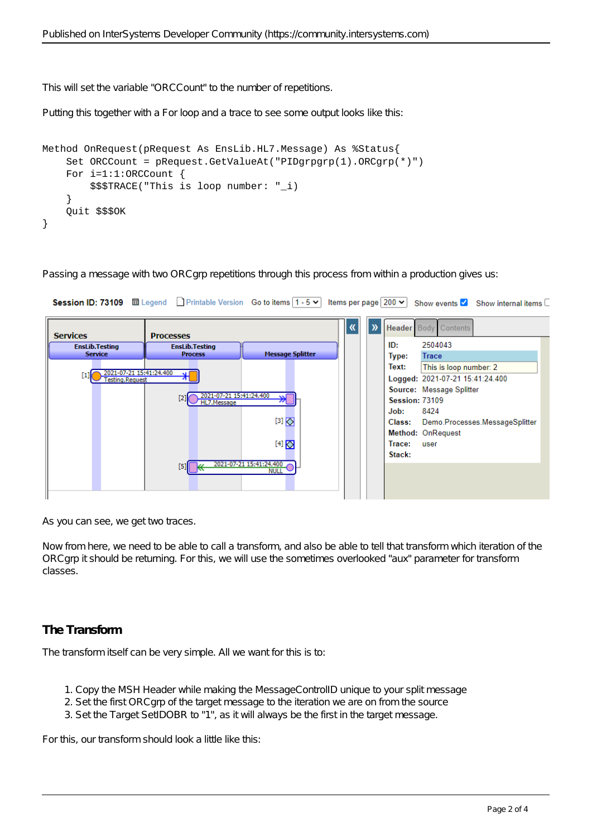This will set the variable "ORCCount" to the number of repetitions.

Putting this together with a For loop and a trace to see some output looks like this:

```
Method OnRequest(pRequest As EnsLib.HL7.Message) As %Status{
     Set ORCCount = pRequest.GetValueAt("PIDgrpgrp(1).ORCgrp(*)")
    For i=1:1:ORCCount {
         $$$TRACE("This is loop number: "_i)
     }
     Quit $$$OK
}
```
Passing a message with two ORCgrp repetitions through this process from within a production gives us:



As you can see, we get two traces.

Now from here, we need to be able to call a transform, and also be able to tell that transform which iteration of the ORCgrp it should be returning. For this, we will use the sometimes overlooked "aux" parameter for transform classes.

#### **The Transform**

The transform itself can be very simple. All we want for this is to:

- 1. Copy the MSH Header while making the MessageControlID unique to your split message
- 2. Set the first ORCgrp of the target message to the iteration we are on from the source
- 3. Set the Target SetIDOBR to "1", as it will always be the first in the target message.

For this, our transform should look a little like this: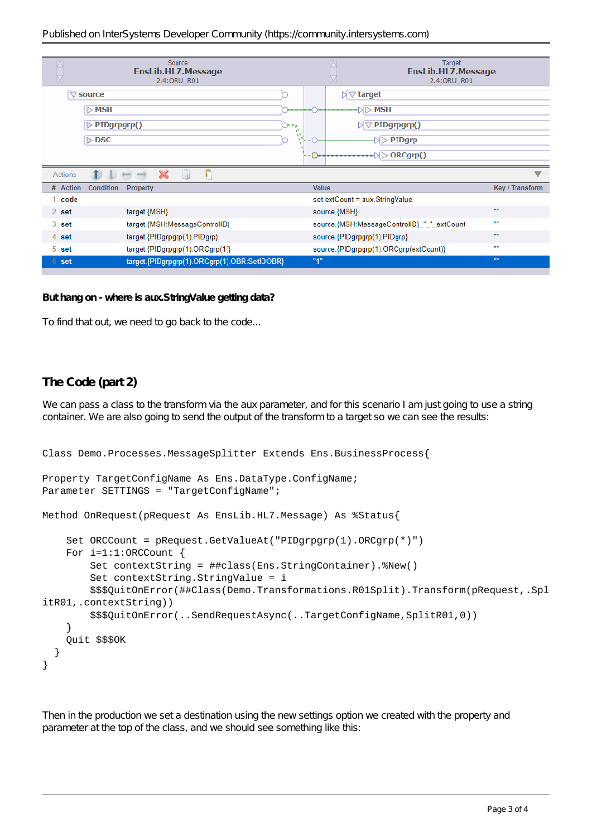|                                              | Source<br>EnsLib.HL7.Message<br>2.4: ORU_R01 |       | <b>Target</b><br><b>EnsLib.HL7.Message</b><br>2.4:0RU_R01                                                    |                        |
|----------------------------------------------|----------------------------------------------|-------|--------------------------------------------------------------------------------------------------------------|------------------------|
|                                              | $\triangledown$ source                       |       | $\boxtimes \triangledown$ target                                                                             |                        |
|                                              | $>$ MSH                                      |       | -⊳MSH                                                                                                        |                        |
|                                              | $\triangleright$ PIDgrpgrp()                 | w     | $\triangledown$ PIDgrpgrp()                                                                                  |                        |
|                                              | $\triangleright$ DSC                         |       | $\triangleright$ PIDgrp                                                                                      |                        |
|                                              |                                              |       | $\Box \rightarrow \Box \rightarrow \Box \rightarrow \Box \rightarrow \Box \rightarrow \Box \rightarrow \Box$ |                        |
| D<br>$\mathbf{X}$<br>$-44$<br><b>Actions</b> |                                              |       |                                                                                                              |                        |
|                                              |                                              |       |                                                                                                              |                        |
| # Action                                     | Condition<br><b>Property</b>                 | Value |                                                                                                              | Key / Transform        |
| 1 code                                       |                                              |       | set extCount = aux.StringValue                                                                               |                        |
| $2$ set                                      | target.{MSH}                                 |       | source.{MSH}                                                                                                 | $\mathbf{m}$           |
| 3 set                                        | target.{MSH:MessageControlID}                |       | source.{MSH:MessageControlID} "" extCount                                                                    | $\mathbf{u}$           |
| 4 set                                        | target.{PIDgrpgrp(1).PIDgrp}                 |       | source.{PIDgrpgrp(1).PIDgrp}                                                                                 |                        |
| 5 set                                        | target.{PIDgrpgrp(1).ORCgrp(1)}              |       | source.{PIDgrpgrp(1).ORCgrp(extCount)}                                                                       | ,,,,                   |
| 6 set                                        | target.{PIDgrpgrp(1).ORCgrp(1).OBR:SetIDOBR} | "1"   |                                                                                                              | $\mathbf{m}\mathbf{u}$ |

*But hang on - where is aux.StringValue getting data?*

To find that out, we need to go back to the code...

#### **The Code (part 2)**

We can pass a class to the transform via the aux parameter, and for this scenario I am just going to use a string container. We are also going to send the output of the transform to a target so we can see the results:

```
Class Demo.Processes.MessageSplitter Extends Ens.BusinessProcess{
Property TargetConfigName As Ens.DataType.ConfigName;
Parameter SETTINGS = "TargetConfigName";
Method OnRequest(pRequest As EnsLib.HL7.Message) As %Status{
     Set ORCCount = pRequest.GetValueAt("PIDgrpgrp(1).ORCgrp(*)")
     For i=1:1:ORCCount {
         Set contextString = ##class(Ens.StringContainer).%New()
         Set contextString.StringValue = i
         $$$QuitOnError(##Class(Demo.Transformations.R01Split).Transform(pRequest,.Spl
itR01,.contextString))
         $$$QuitOnError(..SendRequestAsync(..TargetConfigName,SplitR01,0))
     }
     Quit $$$OK
   }
}
```
Then in the production we set a destination using the new settings option we created with the property and parameter at the top of the class, and we should see something like this: